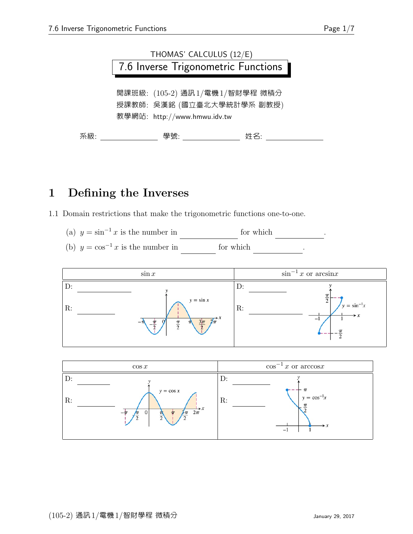

#### 1 Defining the Inverses

1.1 Domain restrictions that make the trigonometric functions one-to-one.

- (a)  $y = \sin^{-1} x$  is the number in for which sing  $\frac{1}{2}$ .
- (b)  $y = \cos^{-1} x$  is the number in for which



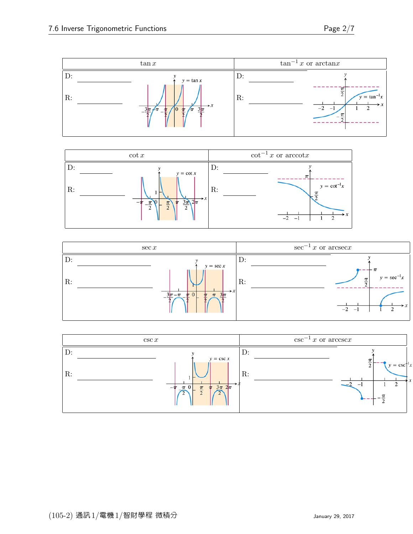





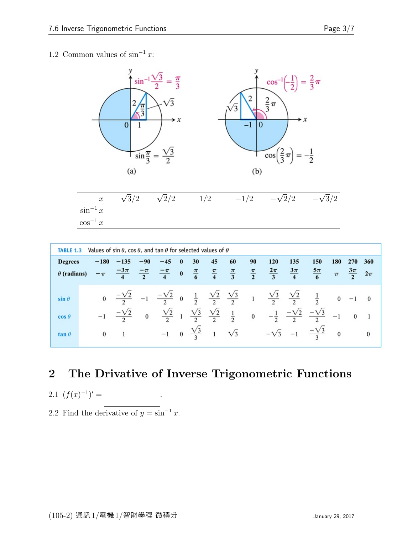#### 1.2 Common values of  $\sin^{-1} x$ :



| Values of sin $\theta$ , cos $\theta$ , and tan $\theta$ for selected values of $\theta$<br><b>TABLE 1.3</b> |  |                  |                                                                                                                                                                             |       |       |          |    |    |                                          |    |                                                                                                                                                      |                         |                                                                                                                                      |              |                              |               |
|--------------------------------------------------------------------------------------------------------------|--|------------------|-----------------------------------------------------------------------------------------------------------------------------------------------------------------------------|-------|-------|----------|----|----|------------------------------------------|----|------------------------------------------------------------------------------------------------------------------------------------------------------|-------------------------|--------------------------------------------------------------------------------------------------------------------------------------|--------------|------------------------------|---------------|
| <b>Degrees</b><br>$\theta$ (radians)                                                                         |  | $-180$<br>$-\pi$ | $-135$                                                                                                                                                                      | $-90$ | $-45$ | $\bf{0}$ | 30 | 45 | 60                                       | 90 | <b>120</b><br>$\frac{-3\pi}{4}$ $\frac{-\pi}{2}$ $\frac{-\pi}{4}$ 0 $\frac{\pi}{6}$ $\frac{\pi}{4}$ $\frac{\pi}{3}$ $\frac{\pi}{2}$ $\frac{2\pi}{3}$ | 135<br>$\frac{3\pi}{4}$ | 150<br>$rac{5\pi}{6}$                                                                                                                | 180<br>$\pi$ | <b>270</b><br>$rac{3\pi}{2}$ | 360<br>$2\pi$ |
|                                                                                                              |  |                  |                                                                                                                                                                             |       |       |          |    |    |                                          |    |                                                                                                                                                      |                         |                                                                                                                                      |              |                              |               |
| $\sin \theta$                                                                                                |  |                  | 0 $\frac{-\sqrt{2}}{2}$ -1 $\frac{-\sqrt{2}}{2}$ 0 $\frac{1}{2}$ $\frac{\sqrt{2}}{2}$ $\frac{\sqrt{3}}{2}$ 1 $\frac{\sqrt{3}}{2}$ $\frac{\sqrt{2}}{2}$ $\frac{1}{2}$ 0 -1 0 |       |       |          |    |    |                                          |    |                                                                                                                                                      |                         |                                                                                                                                      |              |                              |               |
| $\cos \theta$                                                                                                |  |                  | $-1$ $\frac{-\sqrt{2}}{2}$                                                                                                                                                  |       |       |          |    |    |                                          |    |                                                                                                                                                      |                         | $\frac{\sqrt{2}}{2}$ 1 $\frac{\sqrt{3}}{2}$ $\frac{\sqrt{2}}{2}$ 1 0 $-\frac{1}{2}$ $\frac{-\sqrt{2}}{2}$ $\frac{-\sqrt{3}}{2}$ -1 0 |              |                              |               |
| $\tan \theta$                                                                                                |  |                  | $0 \qquad 1$                                                                                                                                                                |       |       |          |    |    | $-1$ 0 $\frac{\sqrt{3}}{3}$ 1 $\sqrt{3}$ |    |                                                                                                                                                      |                         | $-\sqrt{3}$ $-1$ $-\frac{\sqrt{3}}{2}$ 0                                                                                             |              |                              |               |

### 2 The Drivative of Inverse Trigonometric Functions

.

2.1 
$$
(f(x)^{-1})' =
$$

2.2 Find the derivative of  $y = \sin^{-1} x$ .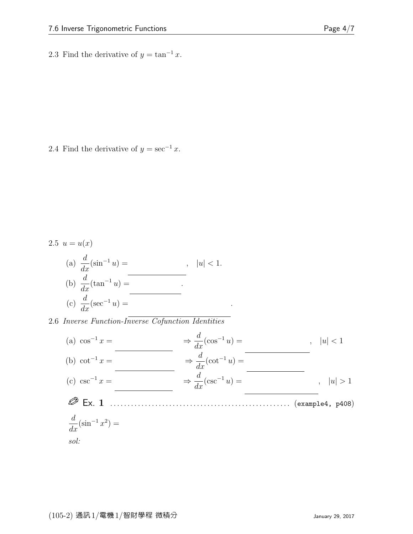2.3 Find the derivative of  $y = \tan^{-1} x$ .

2.4 Find the derivative of  $y = \sec^{-1} x$ .

2.5 
$$
u = u(x)
$$
  
\n(a)  $\frac{d}{dx}(\sin^{-1} u) =$ ,  $|u| < 1$ .  
\n(b)  $\frac{d}{dx}(\tan^{-1} u) =$   
\n(c)  $\frac{d}{dx}(\sec^{-1} u) =$ 

2.6 Inverse Function-Inverse Cofunction Identities

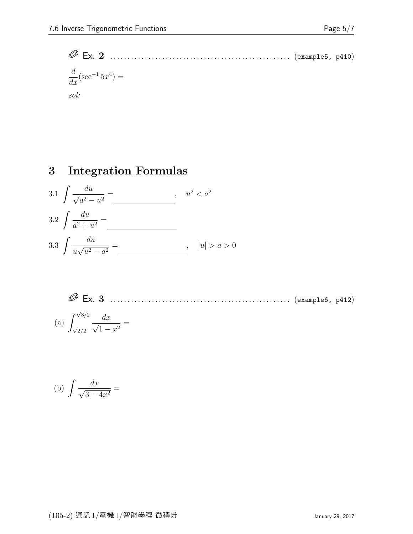Ex. 2 . . . . . . . . . . . . . . . . . . . . . . . . . . . . . . . . . . . . . . . . . . . . . . . . . . . . (example5, p410)  $\frac{d}{dx}(\sec^{-1}5x^4) =$ sol:

## 3 Integration Formulas

3.1 
$$
\int \frac{du}{\sqrt{a^2 - u^2}} =
$$
  
\n3.2  $\int \frac{du}{a^2 + u^2} =$   
\n3.3  $\int \frac{du}{u\sqrt{u^2 - a^2}} =$   
\n3.4  $\int u \sqrt{u^2 - a^2} =$   
\n3.5  $\int \frac{du}{u\sqrt{u^2 - a^2}} =$ 

 Ex. 3 . . . . . . . . . . . . . . . . . . . . . . . . . . . . . . . . . . . . . . . . . . . . . . . . . . . . (example6, p412) (a) - √ 3/2 √ 2/2 dx √ 1 − x 2 =

(b) 
$$
\int \frac{dx}{\sqrt{3-4x^2}} =
$$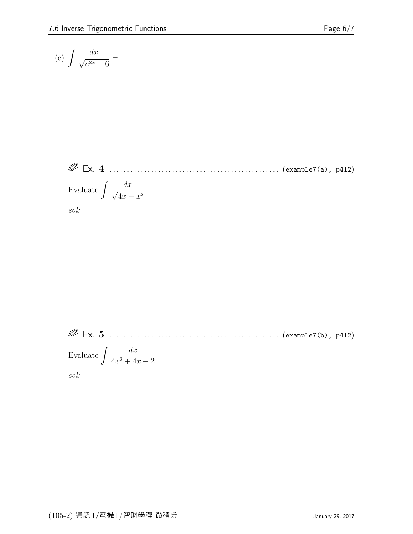$$
\sf Page
$$

$$
(c) \int \frac{dx}{\sqrt{e^{2x} - 6}} =
$$

 Ex. 4 . . . . . . . . . . . . . . . . . . . . . . . . . . . . . . . . . . . . . . . . . . . . . . . . . (example7(a), p412) Evaluate dx √ 4x − x 2

sol:

 Ex. 5 . . . . . . . . . . . . . . . . . . . . . . . . . . . . . . . . . . . . . . . . . . . . . . . . . (example7(b), p412) Evaluate  $\int \frac{dx}{1+2+4}$  $4x^2 + 4x + 2$ sol: